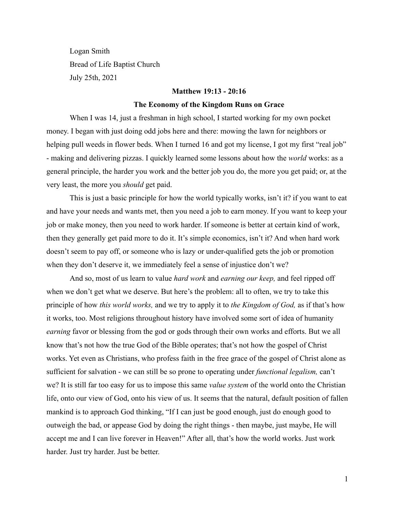Logan Smith Bread of Life Baptist Church July 25th, 2021

#### **Matthew 19:13 - 20:16**

#### **The Economy of the Kingdom Runs on Grace**

When I was 14, just a freshman in high school, I started working for my own pocket money. I began with just doing odd jobs here and there: mowing the lawn for neighbors or helping pull weeds in flower beds. When I turned 16 and got my license, I got my first "real job" - making and delivering pizzas. I quickly learned some lessons about how the *world* works: as a general principle, the harder you work and the better job you do, the more you get paid; or, at the very least, the more you *should* get paid.

This is just a basic principle for how the world typically works, isn't it? if you want to eat and have your needs and wants met, then you need a job to earn money. If you want to keep your job or make money, then you need to work harder. If someone is better at certain kind of work, then they generally get paid more to do it. It's simple economics, isn't it? And when hard work doesn't seem to pay off, or someone who is lazy or under-qualified gets the job or promotion when they don't deserve it, we immediately feel a sense of injustice don't we?

And so, most of us learn to value *hard work* and *earning our keep,* and feel ripped off when we don't get what we deserve. But here's the problem: all to often, we try to take this principle of how *this world works,* and we try to apply it to *the Kingdom of God,* as if that's how it works, too. Most religions throughout history have involved some sort of idea of humanity *earning* favor or blessing from the god or gods through their own works and efforts. But we all know that's not how the true God of the Bible operates; that's not how the gospel of Christ works. Yet even as Christians, who profess faith in the free grace of the gospel of Christ alone as sufficient for salvation - we can still be so prone to operating under *functional legalism,* can't we? It is still far too easy for us to impose this same *value system* of the world onto the Christian life, onto our view of God, onto his view of us. It seems that the natural, default position of fallen mankind is to approach God thinking, "If I can just be good enough, just do enough good to outweigh the bad, or appease God by doing the right things - then maybe, just maybe, He will accept me and I can live forever in Heaven!" After all, that's how the world works. Just work harder. Just try harder. Just be better.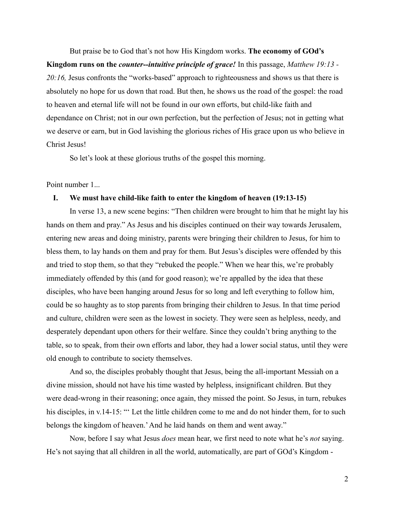But praise be to God that's not how His Kingdom works. **The economy of GOd's Kingdom runs on the** *counter--intuitive principle of grace!* In this passage, *Matthew 19:13 - 20:16,* Jesus confronts the "works-based" approach to righteousness and shows us that there is absolutely no hope for us down that road. But then, he shows us the road of the gospel: the road to heaven and eternal life will not be found in our own efforts, but child-like faith and dependance on Christ; not in our own perfection, but the perfection of Jesus; not in getting what we deserve or earn, but in God lavishing the glorious riches of His grace upon us who believe in Christ Jesus!

So let's look at these glorious truths of the gospel this morning.

## Point number 1...

#### **I. We must have child-like faith to enter the kingdom of heaven (19:13-15)**

In verse 13, a new scene begins: "Then children were brought to him that he might lay his hands on them and pray." As Jesus and his disciples continued on their way towards Jerusalem, entering new areas and doing ministry, parents were bringing their children to Jesus, for him to bless them, to lay hands on them and pray for them. But Jesus's disciples were offended by this and tried to stop them, so that they "rebuked the people." When we hear this, we're probably immediately offended by this (and for good reason); we're appalled by the idea that these disciples, who have been hanging around Jesus for so long and left everything to follow him, could be so haughty as to stop parents from bringing their children to Jesus. In that time period and culture, children were seen as the lowest in society. They were seen as helpless, needy, and desperately dependant upon others for their welfare. Since they couldn't bring anything to the table, so to speak, from their own efforts and labor, they had a lower social status, until they were old enough to contribute to society themselves.

And so, the disciples probably thought that Jesus, being the all-important Messiah on a divine mission, should not have his time wasted by helpless, insignificant children. But they were dead-wrong in their reasoning; once again, they missed the point. So Jesus, in turn, rebukes his disciples, in v.14-15: "" Let the little children come to me and do not hinder them, for to such belongs the kingdom of heaven.'And he laid hands on them and went away."

Now, before I say what Jesus *does* mean hear, we first need to note what he's *not* saying. He's not saying that all children in all the world, automatically, are part of GOd's Kingdom -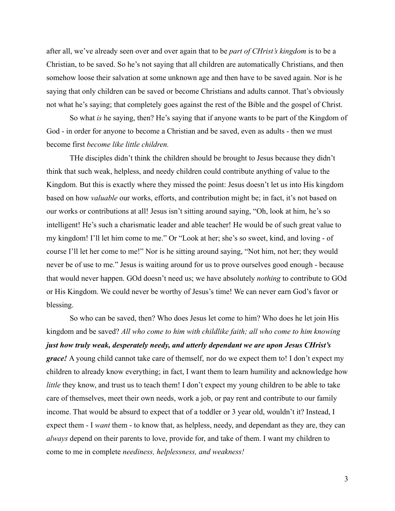after all, we've already seen over and over again that to be *part of CHrist's kingdom* is to be a Christian, to be saved. So he's not saying that all children are automatically Christians, and then somehow loose their salvation at some unknown age and then have to be saved again. Nor is he saying that only children can be saved or become Christians and adults cannot. That's obviously not what he's saying; that completely goes against the rest of the Bible and the gospel of Christ.

So what *is* he saying, then? He's saying that if anyone wants to be part of the Kingdom of God - in order for anyone to become a Christian and be saved, even as adults - then we must become first *become like little children.*

THe disciples didn't think the children should be brought to Jesus because they didn't think that such weak, helpless, and needy children could contribute anything of value to the Kingdom. But this is exactly where they missed the point: Jesus doesn't let us into His kingdom based on how *valuable* our works, efforts, and contribution might be; in fact, it's not based on our works or contributions at all! Jesus isn't sitting around saying, "Oh, look at him, he's so intelligent! He's such a charismatic leader and able teacher! He would be of such great value to my kingdom! I'll let him come to me." Or "Look at her; she's so sweet, kind, and loving - of course I'll let her come to me!" Nor is he sitting around saying, "Not him, not her; they would never be of use to me." Jesus is waiting around for us to prove ourselves good enough - because that would never happen. GOd doesn't need us; we have absolutely *nothing* to contribute to GOd or His Kingdom. We could never be worthy of Jesus's time! We can never earn God's favor or blessing.

So who can be saved, then? Who does Jesus let come to him? Who does he let join His kingdom and be saved? *All who come to him with childlike faith; all who come to him knowing just how truly weak, desperately needy, and utterly dependant we are upon Jesus CHrist's grace!* A young child cannot take care of themself, nor do we expect them to! I don't expect my children to already know everything; in fact, I want them to learn humility and acknowledge how *little* they know, and trust us to teach them! I don't expect my young children to be able to take care of themselves, meet their own needs, work a job, or pay rent and contribute to our family income. That would be absurd to expect that of a toddler or 3 year old, wouldn't it? Instead, I expect them - I *want* them - to know that, as helpless, needy, and dependant as they are, they can *always* depend on their parents to love, provide for, and take of them. I want my children to come to me in complete *neediness, helplessness, and weakness!*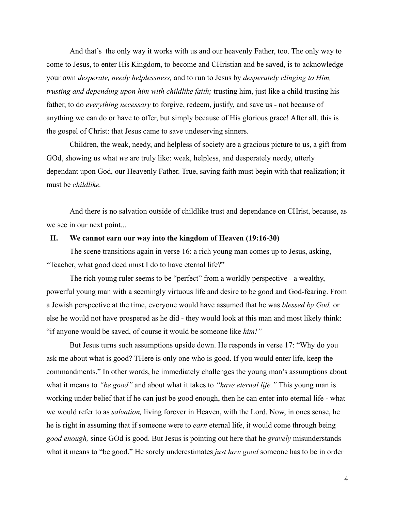And that's the only way it works with us and our heavenly Father, too. The only way to come to Jesus, to enter His Kingdom, to become and CHristian and be saved, is to acknowledge your own *desperate, needy helplessness,* and to run to Jesus by *desperately clinging to Him, trusting and depending upon him with childlike faith;* trusting him, just like a child trusting his father, to do *everything necessary* to forgive, redeem, justify, and save us - not because of anything we can do or have to offer, but simply because of His glorious grace! After all, this is the gospel of Christ: that Jesus came to save undeserving sinners.

Children, the weak, needy, and helpless of society are a gracious picture to us, a gift from GOd, showing us what *we* are truly like: weak, helpless, and desperately needy, utterly dependant upon God, our Heavenly Father. True, saving faith must begin with that realization; it must be *childlike.*

And there is no salvation outside of childlike trust and dependance on CHrist, because, as we see in our next point...

### **II. We cannot earn our way into the kingdom of Heaven (19:16-30)**

The scene transitions again in verse 16: a rich young man comes up to Jesus, asking, "Teacher, what good deed must I do to have eternal life?"

The rich young ruler seems to be "perfect" from a worldly perspective - a wealthy, powerful young man with a seemingly virtuous life and desire to be good and God-fearing. From a Jewish perspective at the time, everyone would have assumed that he was *blessed by God,* or else he would not have prospered as he did - they would look at this man and most likely think: "if anyone would be saved, of course it would be someone like *him!"*

But Jesus turns such assumptions upside down. He responds in verse 17: "Why do you ask me about what is good? THere is only one who is good. If you would enter life, keep the commandments." In other words, he immediately challenges the young man's assumptions about what it means to *"be good"* and about what it takes to *"have eternal life."* This young man is working under belief that if he can just be good enough, then he can enter into eternal life - what we would refer to as *salvation,* living forever in Heaven, with the Lord. Now, in ones sense, he he is right in assuming that if someone were to *earn* eternal life, it would come through being *good enough,* since GOd is good. But Jesus is pointing out here that he *gravely* misunderstands what it means to "be good." He sorely underestimates *just how good* someone has to be in order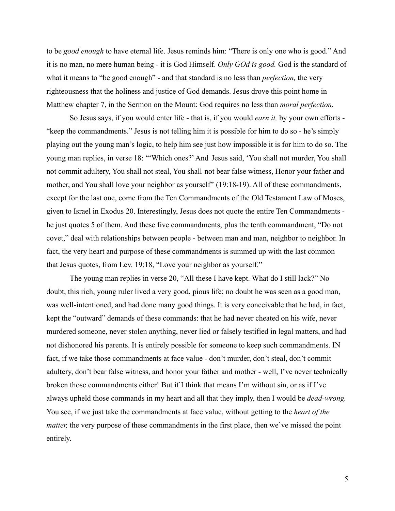to be *good enough* to have eternal life. Jesus reminds him: "There is only one who is good." And it is no man, no mere human being - it is God Himself. *Only GOd is good.* God is the standard of what it means to "be good enough" - and that standard is no less than *perfection,* the very righteousness that the holiness and justice of God demands. Jesus drove this point home in Matthew chapter 7, in the Sermon on the Mount: God requires no less than *moral perfection.*

So Jesus says, if you would enter life - that is, if you would *earn it,* by your own efforts - "keep the commandments." Jesus is not telling him it is possible for him to do so - he's simply playing out the young man's logic, to help him see just how impossible it is for him to do so. The young man replies, in verse 18: "'Which ones?'And Jesus said, 'You shall not murder, You shall not commit adultery, You shall not steal, You shall not bear false witness, Honor your father and mother, and You shall love your neighbor as yourself" (19:18-19). All of these commandments, except for the last one, come from the Ten Commandments of the Old Testament Law of Moses, given to Israel in Exodus 20. Interestingly, Jesus does not quote the entire Ten Commandments he just quotes 5 of them. And these five commandments, plus the tenth commandment, "Do not covet," deal with relationships between people - between man and man, neighbor to neighbor. In fact, the very heart and purpose of these commandments is summed up with the last common that Jesus quotes, from Lev. 19:18, "Love your neighbor as yourself."

The young man replies in verse 20, "All these I have kept. What do I still lack?" No doubt, this rich, young ruler lived a very good, pious life; no doubt he was seen as a good man, was well-intentioned, and had done many good things. It is very conceivable that he had, in fact, kept the "outward" demands of these commands: that he had never cheated on his wife, never murdered someone, never stolen anything, never lied or falsely testified in legal matters, and had not dishonored his parents. It is entirely possible for someone to keep such commandments. IN fact, if we take those commandments at face value - don't murder, don't steal, don't commit adultery, don't bear false witness, and honor your father and mother - well, I've never technically broken those commandments either! But if I think that means I'm without sin, or as if I've always upheld those commands in my heart and all that they imply, then I would be *dead-wrong.* You see, if we just take the commandments at face value, without getting to the *heart of the matter,* the very purpose of these commandments in the first place, then we've missed the point entirely.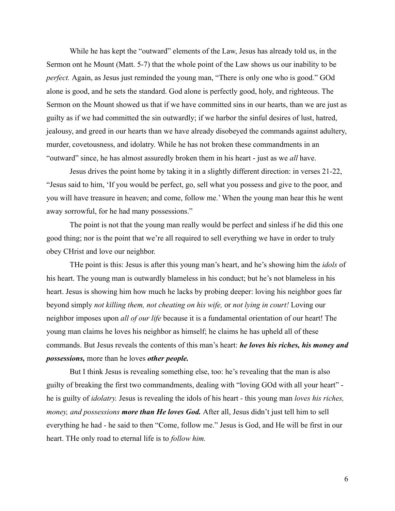While he has kept the "outward" elements of the Law, Jesus has already told us, in the Sermon ont he Mount (Matt. 5-7) that the whole point of the Law shows us our inability to be *perfect.* Again, as Jesus just reminded the young man, "There is only one who is good." GOd alone is good, and he sets the standard. God alone is perfectly good, holy, and righteous. The Sermon on the Mount showed us that if we have committed sins in our hearts, than we are just as guilty as if we had committed the sin outwardly; if we harbor the sinful desires of lust, hatred, jealousy, and greed in our hearts than we have already disobeyed the commands against adultery, murder, covetousness, and idolatry. While he has not broken these commandments in an "outward" since, he has almost assuredly broken them in his heart - just as we *all* have.

Jesus drives the point home by taking it in a slightly different direction: in verses 21-22, "Jesus said to him, 'If you would be perfect, go, sell what you possess and give to the poor, and you will have treasure in heaven; and come, follow me.' When the young man hear this he went away sorrowful, for he had many possessions."

The point is not that the young man really would be perfect and sinless if he did this one good thing; nor is the point that we're all required to sell everything we have in order to truly obey CHrist and love our neighbor.

THe point is this: Jesus is after this young man's heart, and he's showing him the *idols* of his heart. The young man is outwardly blameless in his conduct; but he's not blameless in his heart. Jesus is showing him how much he lacks by probing deeper: loving his neighbor goes far beyond simply *not killing them, not cheating on his wife,* or *not lying in court!* Loving our neighbor imposes upon *all of our life* because it is a fundamental orientation of our heart! The young man claims he loves his neighbor as himself; he claims he has upheld all of these commands. But Jesus reveals the contents of this man's heart: *he loves his riches, his money and possessions,* more than he loves *other people.*

But I think Jesus is revealing something else, too: he's revealing that the man is also guilty of breaking the first two commandments, dealing with "loving GOd with all your heart" he is guilty of *idolatry.* Jesus is revealing the idols of his heart - this young man *loves his riches, money, and possessions more than He loves God.* After all, Jesus didn't just tell him to sell everything he had - he said to then "Come, follow me." Jesus is God, and He will be first in our heart. THe only road to eternal life is to *follow him.*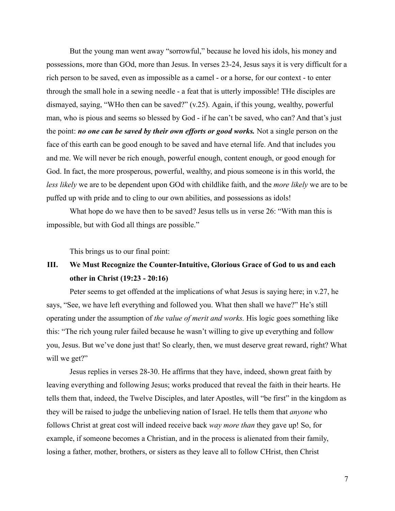But the young man went away "sorrowful," because he loved his idols, his money and possessions, more than GOd, more than Jesus. In verses 23-24, Jesus says it is very difficult for a rich person to be saved, even as impossible as a camel - or a horse, for our context - to enter through the small hole in a sewing needle - a feat that is utterly impossible! THe disciples are dismayed, saying, "WHo then can be saved?" (v.25). Again, if this young, wealthy, powerful man, who is pious and seems so blessed by God - if he can't be saved, who can? And that's just the point: *no one can be saved by their own efforts or good works.* Not a single person on the face of this earth can be good enough to be saved and have eternal life. And that includes you and me. We will never be rich enough, powerful enough, content enough, or good enough for God. In fact, the more prosperous, powerful, wealthy, and pious someone is in this world, the *less likely* we are to be dependent upon GOd with childlike faith, and the *more likely* we are to be puffed up with pride and to cling to our own abilities, and possessions as idols!

What hope do we have then to be saved? Jesus tells us in verse 26: "With man this is impossible, but with God all things are possible."

This brings us to our final point:

# **III. We Must Recognize the Counter-Intuitive, Glorious Grace of God to us and each other in Christ (19:23 - 20:16)**

Peter seems to get offended at the implications of what Jesus is saying here; in v.27, he says, "See, we have left everything and followed you. What then shall we have?" He's still operating under the assumption of *the value of merit and works.* His logic goes something like this: "The rich young ruler failed because he wasn't willing to give up everything and follow you, Jesus. But we've done just that! So clearly, then, we must deserve great reward, right? What will we get?"

Jesus replies in verses 28-30. He affirms that they have, indeed, shown great faith by leaving everything and following Jesus; works produced that reveal the faith in their hearts. He tells them that, indeed, the Twelve Disciples, and later Apostles, will "be first" in the kingdom as they will be raised to judge the unbelieving nation of Israel. He tells them that *anyone* who follows Christ at great cost will indeed receive back *way more than* they gave up! So, for example, if someone becomes a Christian, and in the process is alienated from their family, losing a father, mother, brothers, or sisters as they leave all to follow CHrist, then Christ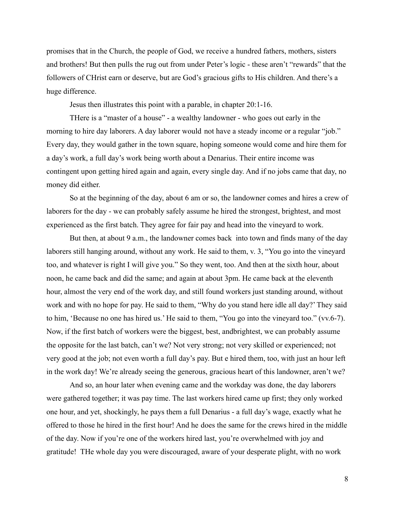promises that in the Church, the people of God, we receive a hundred fathers, mothers, sisters and brothers! But then pulls the rug out from under Peter's logic - these aren't "rewards" that the followers of CHrist earn or deserve, but are God's gracious gifts to His children. And there's a huge difference.

Jesus then illustrates this point with a parable, in chapter 20:1-16.

THere is a "master of a house" - a wealthy landowner - who goes out early in the morning to hire day laborers. A day laborer would not have a steady income or a regular "job." Every day, they would gather in the town square, hoping someone would come and hire them for a day's work, a full day's work being worth about a Denarius. Their entire income was contingent upon getting hired again and again, every single day. And if no jobs came that day, no money did either.

So at the beginning of the day, about 6 am or so, the landowner comes and hires a crew of laborers for the day - we can probably safely assume he hired the strongest, brightest, and most experienced as the first batch. They agree for fair pay and head into the vineyard to work.

But then, at about 9 a.m., the landowner comes back into town and finds many of the day laborers still hanging around, without any work. He said to them, v. 3, "You go into the vineyard too, and whatever is right I will give you." So they went, too. And then at the sixth hour, about noon, he came back and did the same; and again at about 3pm. He came back at the eleventh hour, almost the very end of the work day, and still found workers just standing around, without work and with no hope for pay. He said to them, "Why do you stand here idle all day?' They said to him, 'Because no one has hired us.' He said to them, "You go into the vineyard too." (vv.6-7). Now, if the first batch of workers were the biggest, best, andbrightest, we can probably assume the opposite for the last batch, can't we? Not very strong; not very skilled or experienced; not very good at the job; not even worth a full day's pay. But e hired them, too, with just an hour left in the work day! We're already seeing the generous, gracious heart of this landowner, aren't we?

And so, an hour later when evening came and the workday was done, the day laborers were gathered together; it was pay time. The last workers hired came up first; they only worked one hour, and yet, shockingly, he pays them a full Denarius - a full day's wage, exactly what he offered to those he hired in the first hour! And he does the same for the crews hired in the middle of the day. Now if you're one of the workers hired last, you're overwhelmed with joy and gratitude! THe whole day you were discouraged, aware of your desperate plight, with no work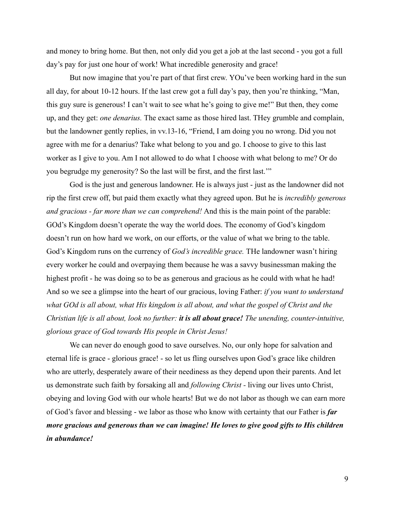and money to bring home. But then, not only did you get a job at the last second - you got a full day's pay for just one hour of work! What incredible generosity and grace!

But now imagine that you're part of that first crew. YOu've been working hard in the sun all day, for about 10-12 hours. If the last crew got a full day's pay, then you're thinking, "Man, this guy sure is generous! I can't wait to see what he's going to give me!" But then, they come up, and they get: *one denarius.* The exact same as those hired last. THey grumble and complain, but the landowner gently replies, in vv.13-16, "Friend, I am doing you no wrong. Did you not agree with me for a denarius? Take what belong to you and go. I choose to give to this last worker as I give to you. Am I not allowed to do what I choose with what belong to me? Or do you begrudge my generosity? So the last will be first, and the first last.'"

God is the just and generous landowner. He is always just - just as the landowner did not rip the first crew off, but paid them exactly what they agreed upon. But he is *incredibly generous and gracious - far more than we can comprehend!* And this is the main point of the parable: GOd's Kingdom doesn't operate the way the world does. The economy of God's kingdom doesn't run on how hard we work, on our efforts, or the value of what we bring to the table. God's Kingdom runs on the currency of *God's incredible grace.* THe landowner wasn't hiring every worker he could and overpaying them because he was a savvy businessman making the highest profit - he was doing so to be as generous and gracious as he could with what he had! And so we see a glimpse into the heart of our gracious, loving Father: *if you want to understand what GOd is all about, what His kingdom is all about, and what the gospel of Christ and the Christian life is all about, look no further: it is all about grace! The unending, counter-intuitive, glorious grace of God towards His people in Christ Jesus!*

We can never do enough good to save ourselves. No, our only hope for salvation and eternal life is grace - glorious grace! - so let us fling ourselves upon God's grace like children who are utterly, desperately aware of their neediness as they depend upon their parents. And let us demonstrate such faith by forsaking all and *following Christ -* living our lives unto Christ, obeying and loving God with our whole hearts! But we do not labor as though we can earn more of God's favor and blessing - we labor as those who know with certainty that our Father is *far more gracious and generous than we can imagine! He loves to give good gifts to His children in abundance!*